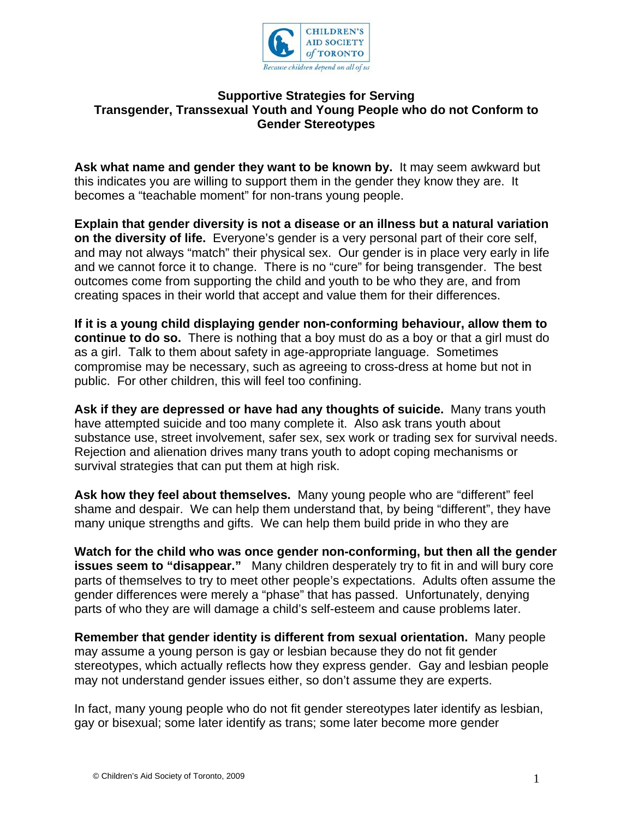

## **Supportive Strategies for Serving Transgender, Transsexual Youth and Young People who do not Conform to Gender Stereotypes**

**Ask what name and gender they want to be known by.** It may seem awkward but this indicates you are willing to support them in the gender they know they are. It becomes a "teachable moment" for non-trans young people.

**Explain that gender diversity is not a disease or an illness but a natural variation on the diversity of life.** Everyone's gender is a very personal part of their core self, and may not always "match" their physical sex. Our gender is in place very early in life and we cannot force it to change. There is no "cure" for being transgender. The best outcomes come from supporting the child and youth to be who they are, and from creating spaces in their world that accept and value them for their differences.

**If it is a young child displaying gender non-conforming behaviour, allow them to continue to do so.** There is nothing that a boy must do as a boy or that a girl must do as a girl. Talk to them about safety in age-appropriate language. Sometimes compromise may be necessary, such as agreeing to cross-dress at home but not in public. For other children, this will feel too confining.

**Ask if they are depressed or have had any thoughts of suicide.** Many trans youth have attempted suicide and too many complete it. Also ask trans youth about substance use, street involvement, safer sex, sex work or trading sex for survival needs. Rejection and alienation drives many trans youth to adopt coping mechanisms or survival strategies that can put them at high risk.

**Ask how they feel about themselves.** Many young people who are "different" feel shame and despair. We can help them understand that, by being "different", they have many unique strengths and gifts. We can help them build pride in who they are

**Watch for the child who was once gender non-conforming, but then all the gender issues seem to "disappear."** Many children desperately try to fit in and will bury core parts of themselves to try to meet other people's expectations. Adults often assume the gender differences were merely a "phase" that has passed. Unfortunately, denying parts of who they are will damage a child's self-esteem and cause problems later.

**Remember that gender identity is different from sexual orientation.** Many people may assume a young person is gay or lesbian because they do not fit gender stereotypes, which actually reflects how they express gender. Gay and lesbian people may not understand gender issues either, so don't assume they are experts.

In fact, many young people who do not fit gender stereotypes later identify as lesbian, gay or bisexual; some later identify as trans; some later become more gender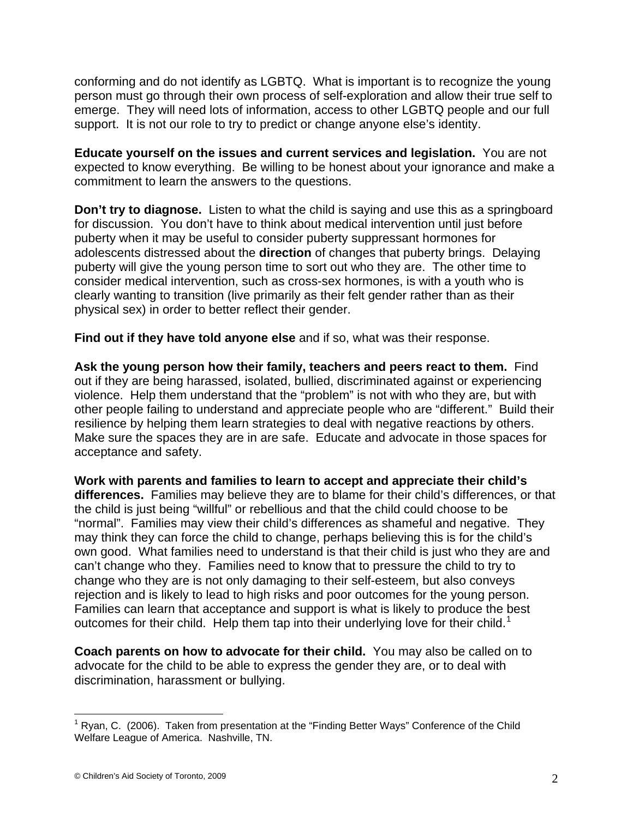conforming and do not identify as LGBTQ. What is important is to recognize the young person must go through their own process of self-exploration and allow their true self to emerge. They will need lots of information, access to other LGBTQ people and our full support. It is not our role to try to predict or change anyone else's identity.

**Educate yourself on the issues and current services and legislation.** You are not expected to know everything. Be willing to be honest about your ignorance and make a commitment to learn the answers to the questions.

**Don't try to diagnose.** Listen to what the child is saying and use this as a springboard for discussion. You don't have to think about medical intervention until just before puberty when it may be useful to consider puberty suppressant hormones for adolescents distressed about the **direction** of changes that puberty brings. Delaying puberty will give the young person time to sort out who they are. The other time to consider medical intervention, such as cross-sex hormones, is with a youth who is clearly wanting to transition (live primarily as their felt gender rather than as their physical sex) in order to better reflect their gender.

**Find out if they have told anyone else** and if so, what was their response.

**Ask the young person how their family, teachers and peers react to them.** Find out if they are being harassed, isolated, bullied, discriminated against or experiencing violence. Help them understand that the "problem" is not with who they are, but with other people failing to understand and appreciate people who are "different." Build their resilience by helping them learn strategies to deal with negative reactions by others. Make sure the spaces they are in are safe. Educate and advocate in those spaces for acceptance and safety.

**Work with parents and families to learn to accept and appreciate their child's differences.** Families may believe they are to blame for their child's differences, or that the child is just being "willful" or rebellious and that the child could choose to be "normal". Families may view their child's differences as shameful and negative. They may think they can force the child to change, perhaps believing this is for the child's own good. What families need to understand is that their child is just who they are and can't change who they. Families need to know that to pressure the child to try to change who they are is not only damaging to their self-esteem, but also conveys rejection and is likely to lead to high risks and poor outcomes for the young person. Families can learn that acceptance and support is what is likely to produce the best outcomes for their child. Help them tap into their underlying love for their child.<sup>[1](#page-1-0)</sup>

**Coach parents on how to advocate for their child.** You may also be called on to advocate for the child to be able to express the gender they are, or to deal with discrimination, harassment or bullying.

 $\overline{a}$ 

<span id="page-1-0"></span><sup>&</sup>lt;sup>1</sup> Ryan, C. (2006). Taken from presentation at the "Finding Better Ways" Conference of the Child Welfare League of America. Nashville, TN.